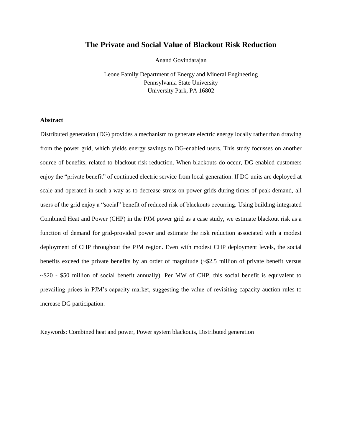# **The Private and Social Value of Blackout Risk Reduction**

Anand Govindarajan

Leone Family Department of Energy and Mineral Engineering Pennsylvania State University University Park, PA 16802

# **Abstract**

Distributed generation (DG) provides a mechanism to generate electric energy locally rather than drawing from the power grid, which yields energy savings to DG-enabled users. This study focusses on another source of benefits, related to blackout risk reduction. When blackouts do occur, DG-enabled customers enjoy the "private benefit" of continued electric service from local generation. If DG units are deployed at scale and operated in such a way as to decrease stress on power grids during times of peak demand, all users of the grid enjoy a "social" benefit of reduced risk of blackouts occurring. Using building-integrated Combined Heat and Power (CHP) in the PJM power grid as a case study, we estimate blackout risk as a function of demand for grid-provided power and estimate the risk reduction associated with a modest deployment of CHP throughout the PJM region. Even with modest CHP deployment levels, the social benefits exceed the private benefits by an order of magnitude (~\$2.5 million of private benefit versus ~\$20 - \$50 million of social benefit annually). Per MW of CHP, this social benefit is equivalent to prevailing prices in PJM's capacity market, suggesting the value of revisiting capacity auction rules to increase DG participation.

Keywords: Combined heat and power, Power system blackouts, Distributed generation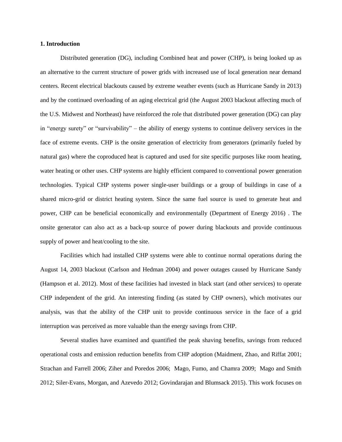#### **1. Introduction**

Distributed generation (DG), including Combined heat and power (CHP), is being looked up as an alternative to the current structure of power grids with increased use of local generation near demand centers. Recent electrical blackouts caused by extreme weather events (such as Hurricane Sandy in 2013) and by the continued overloading of an aging electrical grid (the August 2003 blackout affecting much of the U.S. Midwest and Northeast) have reinforced the role that distributed power generation (DG) can play in "energy surety" or "survivability" – the ability of energy systems to continue delivery services in the face of extreme events. CHP is the onsite generation of electricity from generators (primarily fueled by natural gas) where the coproduced heat is captured and used for site specific purposes like room heating, water heating or other uses. CHP systems are highly efficient compared to conventional power generation technologies. Typical CHP systems power single-user buildings or a group of buildings in case of a shared micro-grid or district heating system. Since the same fuel source is used to generate heat and power, CHP can be beneficial economically and environmentally (Department of Energy 2016) . The onsite generator can also act as a back-up source of power during blackouts and provide continuous supply of power and heat/cooling to the site.

Facilities which had installed CHP systems were able to continue normal operations during the August 14, 2003 blackout (Carlson and Hedman 2004) and power outages caused by Hurricane Sandy (Hampson et al. 2012). Most of these facilities had invested in black start (and other services) to operate CHP independent of the grid. An interesting finding (as stated by CHP owners), which motivates our analysis, was that the ability of the CHP unit to provide continuous service in the face of a grid interruption was perceived as more valuable than the energy savings from CHP.

Several studies have examined and quantified the peak shaving benefits, savings from reduced operational costs and emission reduction benefits from CHP adoption (Maidment, Zhao, and Riffat 2001; Strachan and Farrell 2006; Ziher and Poredos 2006; Mago, Fumo, and Chamra 2009; Mago and Smith 2012; Siler-Evans, Morgan, and Azevedo 2012; Govindarajan and Blumsack 2015). This work focuses on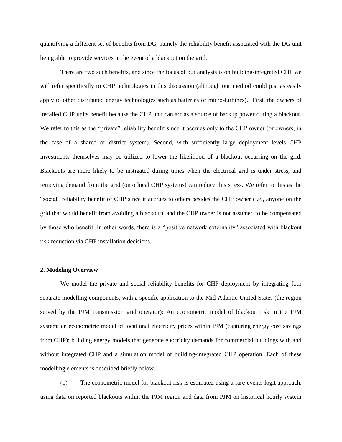quantifying a different set of benefits from DG, namely the reliability benefit associated with the DG unit being able to provide services in the event of a blackout on the grid.

There are two such benefits, and since the focus of our analysis is on building-integrated CHP we will refer specifically to CHP technologies in this discussion (although our method could just as easily apply to other distributed energy technologies such as batteries or micro-turbines). First, the owners of installed CHP units benefit because the CHP unit can act as a source of backup power during a blackout. We refer to this as the "private" reliability benefit since it accrues only to the CHP owner (or owners, in the case of a shared or district system). Second, with sufficiently large deployment levels CHP investments themselves may be utilized to lower the likelihood of a blackout occurring on the grid. Blackouts are more likely to be instigated during times when the electrical grid is under stress, and removing demand from the grid (onto local CHP systems) can reduce this stress. We refer to this as the "social" reliability benefit of CHP since it accrues to others besides the CHP owner (i.e., anyone on the grid that would benefit from avoiding a blackout), and the CHP owner is not assumed to be compensated by those who benefit. In other words, there is a "positive network externality" associated with blackout risk reduction via CHP installation decisions.

#### **2. Modeling Overview**

We model the private and social reliability benefits for CHP deployment by integrating four separate modelling components, with a specific application to the Mid-Atlantic United States (the region served by the PJM transmission grid operator): An econometric model of blackout risk in the PJM system; an econometric model of locational electricity prices within PJM (capturing energy cost savings from CHP); building energy models that generate electricity demands for commercial buildings with and without integrated CHP and a simulation model of building-integrated CHP operation. Each of these modelling elements is described briefly below.

(1) The econometric model for blackout risk is estimated using a rare-events logit approach, using data on reported blackouts within the PJM region and data from PJM on historical hourly system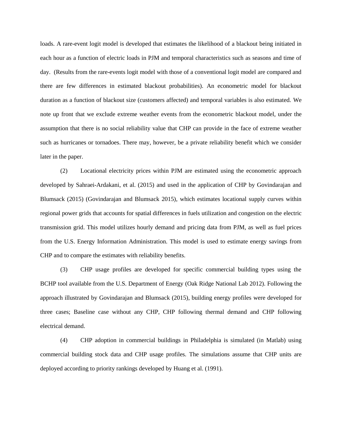loads. A rare-event logit model is developed that estimates the likelihood of a blackout being initiated in each hour as a function of electric loads in PJM and temporal characteristics such as seasons and time of day. (Results from the rare-events logit model with those of a conventional logit model are compared and there are few differences in estimated blackout probabilities). An econometric model for blackout duration as a function of blackout size (customers affected) and temporal variables is also estimated. We note up front that we exclude extreme weather events from the econometric blackout model, under the assumption that there is no social reliability value that CHP can provide in the face of extreme weather such as hurricanes or tornadoes. There may, however, be a private reliability benefit which we consider later in the paper.

(2) Locational electricity prices within PJM are estimated using the econometric approach developed by Sahraei-Ardakani, et al. (2015) and used in the application of CHP by Govindarajan and Blumsack (2015) (Govindarajan and Blumsack 2015), which estimates locational supply curves within regional power grids that accounts for spatial differences in fuels utilization and congestion on the electric transmission grid. This model utilizes hourly demand and pricing data from PJM, as well as fuel prices from the U.S. Energy Information Administration. This model is used to estimate energy savings from CHP and to compare the estimates with reliability benefits.

(3) CHP usage profiles are developed for specific commercial building types using the BCHP tool available from the U.S. Department of Energy (Oak Ridge National Lab 2012). Following the approach illustrated by Govindarajan and Blumsack (2015), building energy profiles were developed for three cases; Baseline case without any CHP, CHP following thermal demand and CHP following electrical demand.

(4) CHP adoption in commercial buildings in Philadelphia is simulated (in Matlab) using commercial building stock data and CHP usage profiles. The simulations assume that CHP units are deployed according to priority rankings developed by Huang et al. (1991).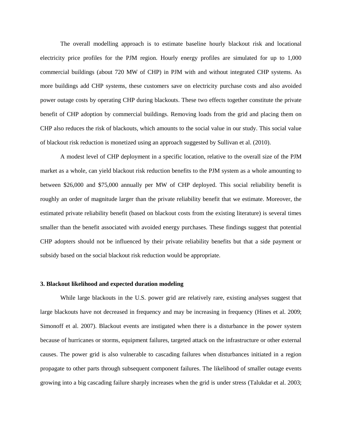The overall modelling approach is to estimate baseline hourly blackout risk and locational electricity price profiles for the PJM region. Hourly energy profiles are simulated for up to 1,000 commercial buildings (about 720 MW of CHP) in PJM with and without integrated CHP systems. As more buildings add CHP systems, these customers save on electricity purchase costs and also avoided power outage costs by operating CHP during blackouts. These two effects together constitute the private benefit of CHP adoption by commercial buildings. Removing loads from the grid and placing them on CHP also reduces the risk of blackouts, which amounts to the social value in our study. This social value of blackout risk reduction is monetized using an approach suggested by Sullivan et al. (2010).

A modest level of CHP deployment in a specific location, relative to the overall size of the PJM market as a whole, can yield blackout risk reduction benefits to the PJM system as a whole amounting to between \$26,000 and \$75,000 annually per MW of CHP deployed. This social reliability benefit is roughly an order of magnitude larger than the private reliability benefit that we estimate. Moreover, the estimated private reliability benefit (based on blackout costs from the existing literature) is several times smaller than the benefit associated with avoided energy purchases. These findings suggest that potential CHP adopters should not be influenced by their private reliability benefits but that a side payment or subsidy based on the social blackout risk reduction would be appropriate.

### **3. Blackout likelihood and expected duration modeling**

While large blackouts in the U.S. power grid are relatively rare, existing analyses suggest that large blackouts have not decreased in frequency and may be increasing in frequency (Hines et al. 2009; Simonoff et al. 2007). Blackout events are instigated when there is a disturbance in the power system because of hurricanes or storms, equipment failures, targeted attack on the infrastructure or other external causes. The power grid is also vulnerable to cascading failures when disturbances initiated in a region propagate to other parts through subsequent component failures. The likelihood of smaller outage events growing into a big cascading failure sharply increases when the grid is under stress (Talukdar et al. 2003;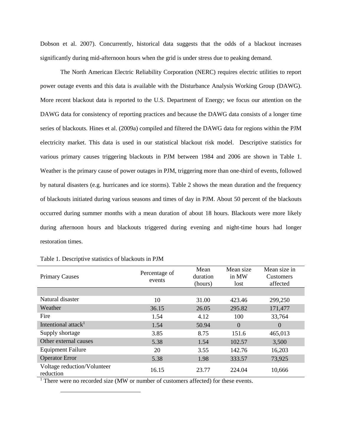Dobson et al. 2007). Concurrently, historical data suggests that the odds of a blackout increases significantly during mid-afternoon hours when the grid is under stress due to peaking demand.

The North American Electric Reliability Corporation (NERC) requires electric utilities to report power outage events and this data is available with the Disturbance Analysis Working Group (DAWG). More recent blackout data is reported to the U.S. Department of Energy; we focus our attention on the DAWG data for consistency of reporting practices and because the DAWG data consists of a longer time series of blackouts. Hines et al. (2009a) compiled and filtered the DAWG data for regions within the PJM electricity market. This data is used in our statistical blackout risk model. Descriptive statistics for various primary causes triggering blackouts in PJM between 1984 and 2006 are shown in Table 1. Weather is the primary cause of power outages in PJM, triggering more than one-third of events, followed by natural disasters (e.g. hurricanes and ice storms). Table 2 shows the mean duration and the frequency of blackouts initiated during various seasons and times of day in PJM. About 50 percent of the blackouts occurred during summer months with a mean duration of about 18 hours. Blackouts were more likely during afternoon hours and blackouts triggered during evening and night-time hours had longer restoration times.

| <b>Primary Causes</b>                    | Percentage of<br>events | Mean<br>duration<br>(hours) | Mean size<br>in MW<br>lost | Mean size in<br><b>Customers</b><br>affected |
|------------------------------------------|-------------------------|-----------------------------|----------------------------|----------------------------------------------|
|                                          |                         |                             |                            |                                              |
| Natural disaster                         | 10                      | 31.00                       | 423.46                     | 299,250                                      |
| Weather                                  | 36.15                   | 26.05                       | 295.82                     | 171,477                                      |
| Fire                                     | 1.54                    | 4.12                        | 100                        | 33,764                                       |
| Intentional attack <sup>1</sup>          | 1.54                    | 50.94                       | $\Omega$                   | $\Omega$                                     |
| Supply shortage                          | 3.85                    | 8.75                        | 151.6                      | 465,013                                      |
| Other external causes                    | 5.38                    | 1.54                        | 102.57                     | 3,500                                        |
| <b>Equipment Failure</b>                 | 20                      | 3.55                        | 142.76                     | 16,203                                       |
| <b>Operator Error</b>                    | 5.38                    | 1.98                        | 333.57                     | 73,925                                       |
| Voltage reduction/Volunteer<br>reduction | 16.15                   | 23.77                       | 224.04                     | 10,666                                       |

 $\overline{a}$ 

<sup>1</sup> There were no recorded size (MW or number of customers affected) for these events.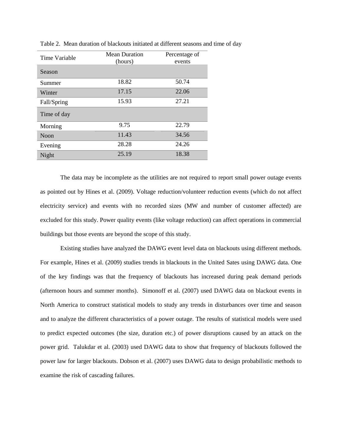| Time Variable | <b>Mean Duration</b><br>(hours) | Percentage of<br>events |  |
|---------------|---------------------------------|-------------------------|--|
| Season        |                                 |                         |  |
| Summer        | 18.82                           | 50.74                   |  |
| Winter        | 17.15                           | 22.06                   |  |
| Fall/Spring   | 15.93                           | 27.21                   |  |
| Time of day   |                                 |                         |  |
| Morning       | 9.75                            | 22.79                   |  |
| <b>Noon</b>   | 11.43                           | 34.56                   |  |
| Evening       | 28.28                           | 24.26                   |  |
| Night         | 25.19                           | 18.38                   |  |

Table 2. Mean duration of blackouts initiated at different seasons and time of day

The data may be incomplete as the utilities are not required to report small power outage events as pointed out by Hines et al. (2009). Voltage reduction/volunteer reduction events (which do not affect electricity service) and events with no recorded sizes (MW and number of customer affected) are excluded for this study. Power quality events (like voltage reduction) can affect operations in commercial buildings but those events are beyond the scope of this study.

Existing studies have analyzed the DAWG event level data on blackouts using different methods. For example, Hines et al. (2009) studies trends in blackouts in the United Sates using DAWG data. One of the key findings was that the frequency of blackouts has increased during peak demand periods (afternoon hours and summer months). Simonoff et al. (2007) used DAWG data on blackout events in North America to construct statistical models to study any trends in disturbances over time and season and to analyze the different characteristics of a power outage. The results of statistical models were used to predict expected outcomes (the size, duration etc.) of power disruptions caused by an attack on the power grid. Talukdar et al. (2003) used DAWG data to show that frequency of blackouts followed the power law for larger blackouts. Dobson et al. (2007) uses DAWG data to design probabilistic methods to examine the risk of cascading failures.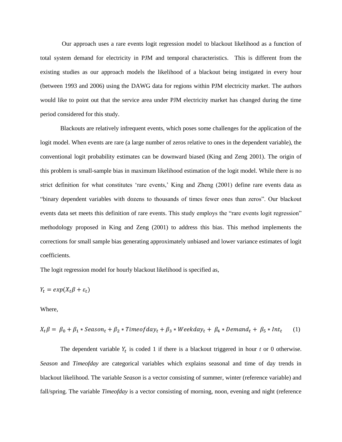Our approach uses a rare events logit regression model to blackout likelihood as a function of total system demand for electricity in PJM and temporal characteristics. This is different from the existing studies as our approach models the likelihood of a blackout being instigated in every hour (between 1993 and 2006) using the DAWG data for regions within PJM electricity market. The authors would like to point out that the service area under PJM electricity market has changed during the time period considered for this study.

Blackouts are relatively infrequent events, which poses some challenges for the application of the logit model. When events are rare (a large number of zeros relative to ones in the dependent variable), the conventional logit probability estimates can be downward biased (King and Zeng 2001). The origin of this problem is small-sample bias in maximum likelihood estimation of the logit model. While there is no strict definition for what constitutes 'rare events,' King and Zheng (2001) define rare events data as "binary dependent variables with dozens to thousands of times fewer ones than zeros". Our blackout events data set meets this definition of rare events. This study employs the "rare events logit regression" methodology proposed in King and Zeng (2001) to address this bias. This method implements the corrections for small sample bias generating approximately unbiased and lower variance estimates of logit coefficients.

The logit regression model for hourly blackout likelihood is specified as,

$$
Y_t = exp(X_t \beta + \varepsilon_t)
$$

Where,

$$
X_t \beta = \beta_0 + \beta_1 * Season_t + \beta_2 * Timeofday_t + \beta_3 * Weekday_t + \beta_4 * Demand_t + \beta_5 * Int_t
$$
 (1)

The dependent variable  $Y_t$  is coded 1 if there is a blackout triggered in hour  $t$  or 0 otherwise. *Season* and *Timeofday* are categorical variables which explains seasonal and time of day trends in blackout likelihood. The variable *Season* is a vector consisting of summer, winter (reference variable) and fall/spring. The variable *Timeofday* is a vector consisting of morning, noon, evening and night (reference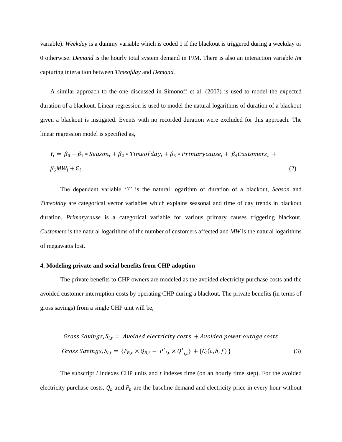variable). *Weekday* is a dummy variable which is coded 1 if the blackout is triggered during a weekday or 0 otherwise. *Demand* is the hourly total system demand in PJM. There is also an interaction variable *Int*  capturing interaction between *Timeofday* and *Demand.* 

A similar approach to the one discussed in Simonoff et al. (2007) is used to model the expected duration of a blackout. Linear regression is used to model the natural logarithms of duration of a blackout given a blackout is instigated. Events with no recorded duration were excluded for this approach. The linear regression model is specified as,

$$
Y_i = \beta_0 + \beta_1 * Season_i + \beta_2 * Timeofday_i + \beta_3 * Primarycause_i + \beta_4 Customers_i + \beta_5 MW_i + \varepsilon_i
$$
\n
$$
(2)
$$

The dependent variable '*Y'* is the natural logarithm of duration of a blackout, *Season* and *Timeofday* are categorical vector variables which explains seasonal and time of day trends in blackout duration. *Primarycause* is a categorical variable for various primary causes triggering blackout. *Customers* is the natural logarithms of the number of customers affected and *MW* is the natural logarithms of megawatts lost.

#### **4. Modeling private and social benefits from CHP adoption**

The private benefits to CHP owners are modeled as the avoided electricity purchase costs and the avoided customer interruption costs by operating CHP during a blackout. The private benefits (in terms of gross savings) from a single CHP unit will be,

$$
Gross Savings, S_{i,t} = Avoided electricity costs + Avoided power outage costs
$$
  

$$
Gross Savings, S_{i,t} = \{P_{B,t} \times Q_{B,t} - P'_{i,t} \times Q'_{i,t}\} + \{C_i(c, b, f)\}
$$
 (3)

The subscript *i* indexes CHP units and *t* indexes time (on an hourly time step). For the avoided electricity purchase costs,  $Q_b$  and  $P_b$  are the baseline demand and electricity price in every hour without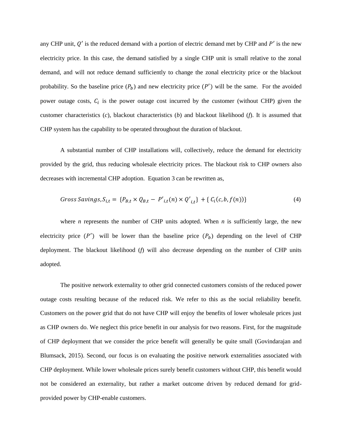any CHP unit,  $Q'$  is the reduced demand with a portion of electric demand met by CHP and  $P'$  is the new electricity price. In this case, the demand satisfied by a single CHP unit is small relative to the zonal demand, and will not reduce demand sufficiently to change the zonal electricity price or the blackout probability. So the baseline price  $(P_b)$  and new electricity price  $(P')$  will be the same. For the avoided power outage costs,  $C_i$  is the power outage cost incurred by the customer (without CHP) given the customer characteristics (*c*), blackout characteristics (*b*) and blackout likelihood (*f*). It is assumed that CHP system has the capability to be operated throughout the duration of blackout.

A substantial number of CHP installations will, collectively, reduce the demand for electricity provided by the grid, thus reducing wholesale electricity prices. The blackout risk to CHP owners also decreases with incremental CHP adoption. Equation 3 can be rewritten as,

$$
Gross \, Savings, S_{i,t} = \{P_{B,t} \times Q_{B,t} - P'_{i,t}(n) \times Q'_{i,t}\} + \{C_i(c, b, f(n))\} \tag{4}
$$

where *n* represents the number of CHP units adopted. When *n* is sufficiently large, the new electricity price  $(P')$  will be lower than the baseline price  $(P_b)$  depending on the level of CHP deployment. The blackout likelihood (*f*) will also decrease depending on the number of CHP units adopted.

The positive network externality to other grid connected customers consists of the reduced power outage costs resulting because of the reduced risk. We refer to this as the social reliability benefit. Customers on the power grid that do not have CHP will enjoy the benefits of lower wholesale prices just as CHP owners do. We neglect this price benefit in our analysis for two reasons. First, for the magnitude of CHP deployment that we consider the price benefit will generally be quite small (Govindarajan and Blumsack, 2015). Second, our focus is on evaluating the positive network externalities associated with CHP deployment. While lower wholesale prices surely benefit customers without CHP, this benefit would not be considered an externality, but rather a market outcome driven by reduced demand for gridprovided power by CHP-enable customers.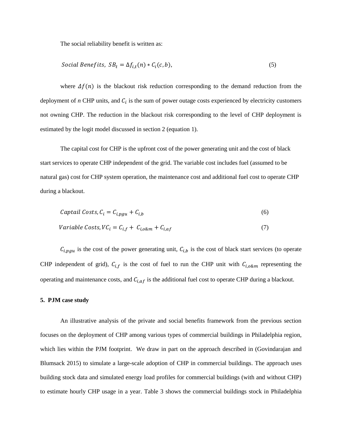The social reliability benefit is written as:

$$
Social \,Benefits, \, SB_t = \Delta f_{i,t}(n) * C_i(c,b), \tag{5}
$$

where  $\Delta f(n)$  is the blackout risk reduction corresponding to the demand reduction from the deployment of  $n$  CHP units, and  $C_i$  is the sum of power outage costs experienced by electricity customers not owning CHP. The reduction in the blackout risk corresponding to the level of CHP deployment is estimated by the logit model discussed in section 2 (equation 1).

The capital cost for CHP is the upfront cost of the power generating unit and the cost of black start services to operate CHP independent of the grid. The variable cost includes fuel (assumed to be natural gas) cost for CHP system operation, the maintenance cost and additional fuel cost to operate CHP during a blackout.

$$
Capital \; Costs, C_i = C_{i,pgu} + C_{i,b} \tag{6}
$$

$$
Variable \text{Costs}, VC_i = C_{i,f} + C_{i,o\&m} + C_{i,af} \tag{7}
$$

 $C_{i,pgu}$  is the cost of the power generating unit,  $C_{i,b}$  is the cost of black start services (to operate CHP independent of grid),  $C_{i,f}$  is the cost of fuel to run the CHP unit with  $C_{i,o\&m}$  representing the operating and maintenance costs, and  $C_{i,af}$  is the additional fuel cost to operate CHP during a blackout.

#### **5. PJM case study**

An illustrative analysis of the private and social benefits framework from the previous section focuses on the deployment of CHP among various types of commercial buildings in Philadelphia region, which lies within the PJM footprint. We draw in part on the approach described in (Govindarajan and Blumsack 2015) to simulate a large-scale adoption of CHP in commercial buildings. The approach uses building stock data and simulated energy load profiles for commercial buildings (with and without CHP) to estimate hourly CHP usage in a year. Table 3 shows the commercial buildings stock in Philadelphia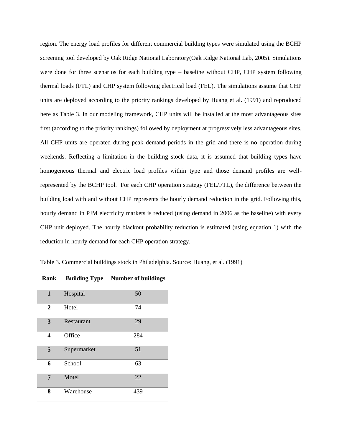region. The energy load profiles for different commercial building types were simulated using the BCHP screening tool developed by Oak Ridge National Laboratory(Oak Ridge National Lab, 2005). Simulations were done for three scenarios for each building type – baseline without CHP, CHP system following thermal loads (FTL) and CHP system following electrical load (FEL). The simulations assume that CHP units are deployed according to the priority rankings developed by Huang et al. (1991) and reproduced here as Table 3. In our modeling framework, CHP units will be installed at the most advantageous sites first (according to the priority rankings) followed by deployment at progressively less advantageous sites. All CHP units are operated during peak demand periods in the grid and there is no operation during weekends. Reflecting a limitation in the building stock data, it is assumed that building types have homogeneous thermal and electric load profiles within type and those demand profiles are wellrepresented by the BCHP tool. For each CHP operation strategy (FEL/FTL), the difference between the building load with and without CHP represents the hourly demand reduction in the grid. Following this, hourly demand in PJM electricity markets is reduced (using demand in 2006 as the baseline) with every CHP unit deployed. The hourly blackout probability reduction is estimated (using equation 1) with the reduction in hourly demand for each CHP operation strategy.

Table 3. Commercial buildings stock in Philadelphia. Source: Huang, et al. (1991)

| <b>Rank</b>    | <b>Building Type</b> | <b>Number of buildings</b> |
|----------------|----------------------|----------------------------|
| 1              | Hospital             | 50                         |
| $\overline{2}$ | Hotel                | 74                         |
| 3              | Restaurant           | 29                         |
| 4              | Office               | 284                        |
| 5              | Supermarket          | 51                         |
| 6              | School               | 63                         |
| 7              | Motel                | 22                         |
| 8              | Warehouse            | 439                        |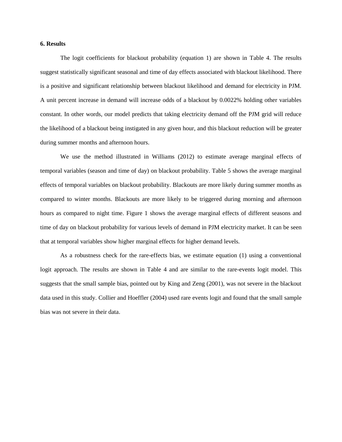#### **6. Results**

The logit coefficients for blackout probability (equation 1) are shown in Table 4. The results suggest statistically significant seasonal and time of day effects associated with blackout likelihood. There is a positive and significant relationship between blackout likelihood and demand for electricity in PJM. A unit percent increase in demand will increase odds of a blackout by 0.0022% holding other variables constant. In other words, our model predicts that taking electricity demand off the PJM grid will reduce the likelihood of a blackout being instigated in any given hour, and this blackout reduction will be greater during summer months and afternoon hours.

We use the method illustrated in Williams (2012) to estimate average marginal effects of temporal variables (season and time of day) on blackout probability. Table 5 shows the average marginal effects of temporal variables on blackout probability. Blackouts are more likely during summer months as compared to winter months. Blackouts are more likely to be triggered during morning and afternoon hours as compared to night time. Figure 1 shows the average marginal effects of different seasons and time of day on blackout probability for various levels of demand in PJM electricity market. It can be seen that at temporal variables show higher marginal effects for higher demand levels.

As a robustness check for the rare-effects bias, we estimate equation (1) using a conventional logit approach. The results are shown in Table 4 and are similar to the rare-events logit model. This suggests that the small sample bias, pointed out by King and Zeng (2001), was not severe in the blackout data used in this study. Collier and Hoeffler (2004) used rare events logit and found that the small sample bias was not severe in their data.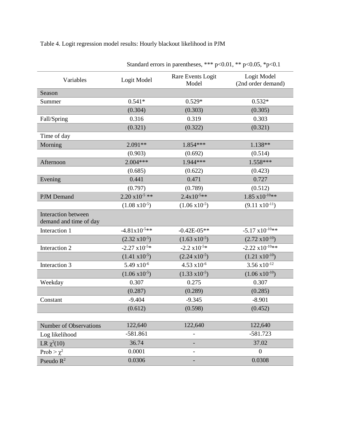Table 4. Logit regression model results: Hourly blackout likelihood in PJM

| Variables                                     | Logit Model              | Rare Events Logit<br>Model | Logit Model<br>(2nd order demand) |
|-----------------------------------------------|--------------------------|----------------------------|-----------------------------------|
| Season                                        |                          |                            |                                   |
| Summer                                        | $0.541*$                 | $0.529*$                   | $0.532*$                          |
|                                               | (0.304)                  | (0.303)                    | (0.305)                           |
| Fall/Spring                                   | 0.316                    | 0.319                      | 0.303                             |
|                                               | (0.321)                  | (0.322)                    | (0.321)                           |
| Time of day                                   |                          |                            |                                   |
| Morning                                       | $2.091**$                | 1.854***                   | $1.138**$                         |
|                                               | (0.903)                  | (0.692)                    | (0.514)                           |
| Afternoon                                     | $2.004***$               | 1.944***                   | $1.558***$                        |
|                                               | (0.685)                  | (0.622)                    | (0.423)                           |
| Evening                                       | 0.441                    | 0.471                      | 0.727                             |
|                                               | (0.797)                  | (0.789)                    | (0.512)                           |
| PJM Demand                                    | $2.20 \times 10^{-5}$ ** | $2.4x10^{-5**}$            | $1.85 \times 10^{-10**}$          |
|                                               | $(1.08 \times 10^{-5})$  | $(1.06 \times 10^{-5})$    | $(9.11 \times 10^{-11})$          |
| Interaction between<br>demand and time of day |                          |                            |                                   |
| Interaction 1                                 | $-4.81x10^{-5**}$        | $-0.42E - 05**$            | $-5.17 \times 10^{-10**}$         |
|                                               | $(2.32 \times 10^{-5})$  | $(1.63 \times 10^{-5})$    | $(2.72 \times 10^{-10})$          |
| Interaction 2                                 | $-2.27 \times 10^{-5*}$  | $-2.2 \times 10^{-5*}$     | $-2.22 \times 10^{-10}$ **        |
|                                               | $(1.41 \times 10^{-5})$  | $(2.24 \text{ x}10^{-5})$  | $(1.21 \times 10^{-10})$          |
| Interaction 3                                 | $5.49 \times 10^{-6}$    | $4.53 \times 10^{-6}$      | $3.56 \times 10^{-12}$            |
|                                               | $(1.06 \times 10^{-5})$  | $(1.33 \times 10^{-5})$    | $(1.06 \times 10^{-10})$          |
| Weekday                                       | 0.307                    | 0.275                      | 0.307                             |
|                                               | (0.287)                  | (0.289)                    | (0.285)                           |
| Constant                                      | $-9.404$                 | $-9.345$                   | $-8.901$                          |
|                                               | (0.612)                  | (0.598)                    | (0.452)                           |
|                                               |                          |                            |                                   |
| <b>Number of Observations</b>                 | 122,640                  | 122,640                    | 122,640                           |
| Log likelihood                                | $-581.861$               |                            | $-581.723$                        |
| LR $\chi^2(10)$                               | 36.74                    |                            | 37.02                             |
| Prob > $\chi^2$                               | 0.0001                   |                            | $\boldsymbol{0}$                  |
| Pseudo $R^2$                                  | 0.0306                   |                            | 0.0308                            |

Standard errors in parentheses, \*\*\* p<0.01, \*\* p<0.05, \*p<0.1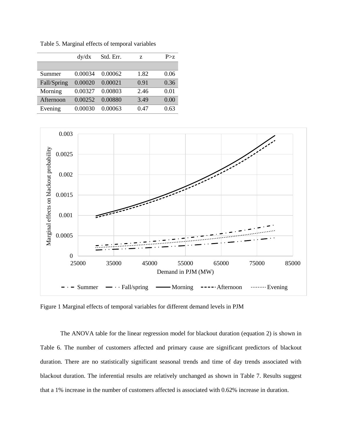|             | dy/dx   | Std. Err. | Z.   | P > z |
|-------------|---------|-----------|------|-------|
|             |         |           |      |       |
| Summer      | 0.00034 | 0.00062   | 1.82 | 0.06  |
| Fall/Spring | 0.00020 | 0.00021   | 0.91 | 0.36  |
| Morning     | 0.00327 | 0.00803   | 2.46 | 0.01  |
| Afternoon   | 0.00252 | 0.00880   | 3.49 | 0.00  |
| Evening     | 0.00030 | 0.00063   | 0.47 | 0.63  |

Table 5. Marginal effects of temporal variables



Figure 1 Marginal effects of temporal variables for different demand levels in PJM

The ANOVA table for the linear regression model for blackout duration (equation 2) is shown in Table 6. The number of customers affected and primary cause are significant predictors of blackout duration. There are no statistically significant seasonal trends and time of day trends associated with blackout duration. The inferential results are relatively unchanged as shown in Table 7. Results suggest that a 1% increase in the number of customers affected is associated with 0.62% increase in duration.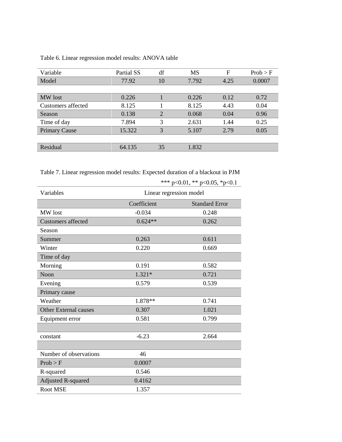| Variable             | Partial SS | df             | <b>MS</b> | F    | Prob > F |
|----------------------|------------|----------------|-----------|------|----------|
| Model                | 77.92      | 10             | 7.792     | 4.25 | 0.0007   |
|                      |            |                |           |      |          |
| MW lost              | 0.226      |                | 0.226     | 0.12 | 0.72     |
| Customers affected   | 8.125      |                | 8.125     | 4.43 | 0.04     |
| Season               | 0.138      | $\overline{2}$ | 0.068     | 0.04 | 0.96     |
| Time of day          | 7.894      | 3              | 2.631     | 1.44 | 0.25     |
| <b>Primary Cause</b> | 15.322     | 3              | 5.107     | 2.79 | 0.05     |
|                      |            |                |           |      |          |
| Residual             | 64.135     | 35             | 1.832     |      |          |

Table 6. Linear regression model results: ANOVA table

Table 7. Linear regression model results: Expected duration of a blackout in PJM

| Variables                    | Linear regression model |                       |  |
|------------------------------|-------------------------|-----------------------|--|
|                              | Coefficient             | <b>Standard Error</b> |  |
| MW lost                      | $-0.034$                | 0.248                 |  |
| <b>Customers affected</b>    | $0.624**$               | 0.262                 |  |
| Season                       |                         |                       |  |
| Summer                       | 0.263                   | 0.611                 |  |
| Winter                       | 0.220                   | 0.669                 |  |
| Time of day                  |                         |                       |  |
| Morning                      | 0.191                   | 0.582                 |  |
| Noon                         | $1.321*$                | 0.721                 |  |
| Evening                      | 0.579                   | 0.539                 |  |
| Primary cause                |                         |                       |  |
| Weather                      | 1.878**                 | 0.741                 |  |
| <b>Other External causes</b> | 0.307                   | 1.021                 |  |
| Equipment error              | 0.581                   | 0.799                 |  |
|                              |                         |                       |  |
| constant                     | $-6.23$                 | 2.664                 |  |
|                              |                         |                       |  |
| Number of observations       | 46                      |                       |  |
| Prob > F                     | 0.0007                  |                       |  |
| R-squared                    | 0.546                   |                       |  |
| <b>Adjusted R-squared</b>    | 0.4162                  |                       |  |
| <b>Root MSE</b>              | 1.357                   |                       |  |

\*\*\* p<0.01, \*\* p<0.05, \*p<0.1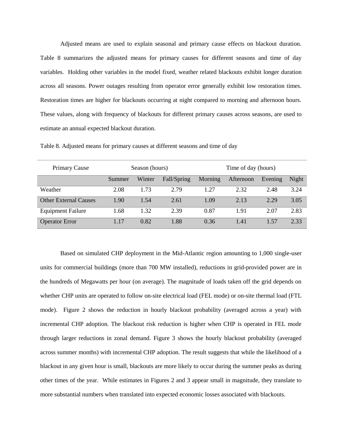Adjusted means are used to explain seasonal and primary cause effects on blackout duration. Table 8 summarizes the adjusted means for primary causes for different seasons and time of day variables. Holding other variables in the model fixed, weather related blackouts exhibit longer duration across all seasons. Power outages resulting from operator error generally exhibit low restoration times. Restoration times are higher for blackouts occurring at night compared to morning and afternoon hours. These values, along with frequency of blackouts for different primary causes across seasons, are used to estimate an annual expected blackout duration.

| <b>Primary Cause</b>         | Season (hours) |        |             | Time of day (hours) |           |         |       |
|------------------------------|----------------|--------|-------------|---------------------|-----------|---------|-------|
|                              | Summer         | Winter | Fall/Spring | Morning             | Afternoon | Evening | Night |
| Weather                      | 2.08           | 1.73   | 2.79        | 1.27                | 2.32      | 2.48    | 3.24  |
| <b>Other External Causes</b> | 1.90           | 1.54   | 2.61        | 1.09                | 2.13      | 2.29    | 3.05  |
| <b>Equipment Failure</b>     | 1.68           | 1.32   | 2.39        | 0.87                | 1.91      | 2.07    | 2.83  |
| <b>Operator Error</b>        | 1.17           | 0.82   | 1.88        | 0.36                | 1.41      | 1.57    | 2.33  |

Table 8. Adjusted means for primary causes at different seasons and time of day

Based on simulated CHP deployment in the Mid-Atlantic region amounting to 1,000 single-user units for commercial buildings (more than 700 MW installed), reductions in grid-provided power are in the hundreds of Megawatts per hour (on average). The magnitude of loads taken off the grid depends on whether CHP units are operated to follow on-site electrical load (FEL mode) or on-site thermal load (FTL mode). Figure 2 shows the reduction in hourly blackout probability (averaged across a year) with incremental CHP adoption. The blackout risk reduction is higher when CHP is operated in FEL mode through larger reductions in zonal demand. Figure 3 shows the hourly blackout probability (averaged across summer months) with incremental CHP adoption. The result suggests that while the likelihood of a blackout in any given hour is small, blackouts are more likely to occur during the summer peaks as during other times of the year. While estimates in Figures 2 and 3 appear small in magnitude, they translate to more substantial numbers when translated into expected economic losses associated with blackouts.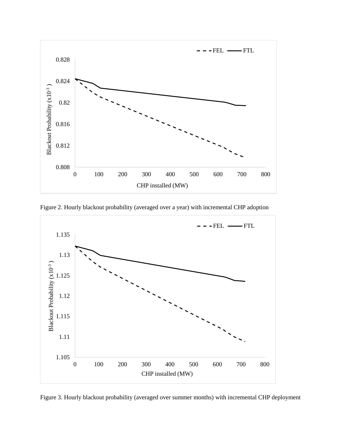

Figure 2. Hourly blackout probability (averaged over a year) with incremental CHP adoption



Figure 3. Hourly blackout probability (averaged over summer months) with incremental CHP deployment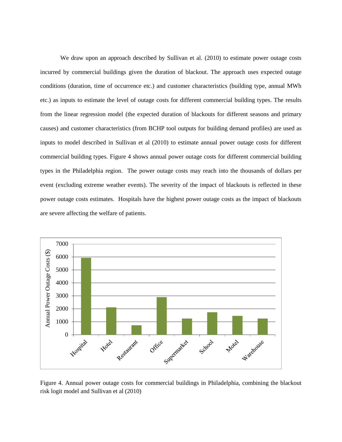We draw upon an approach described by Sullivan et al. (2010) to estimate power outage costs incurred by commercial buildings given the duration of blackout. The approach uses expected outage conditions (duration, time of occurrence etc.) and customer characteristics (building type, annual MWh etc.) as inputs to estimate the level of outage costs for different commercial building types. The results from the linear regression model (the expected duration of blackouts for different seasons and primary causes) and customer characteristics (from BCHP tool outputs for building demand profiles) are used as inputs to model described in Sullivan et al (2010) to estimate annual power outage costs for different commercial building types. Figure 4 shows annual power outage costs for different commercial building types in the Philadelphia region. The power outage costs may reach into the thousands of dollars per event (excluding extreme weather events). The severity of the impact of blackouts is reflected in these power outage costs estimates. Hospitals have the highest power outage costs as the impact of blackouts are severe affecting the welfare of patients.



Figure 4. Annual power outage costs for commercial buildings in Philadelphia, combining the blackout risk logit model and Sullivan et al (2010)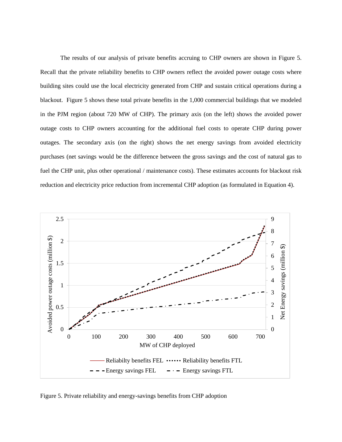The results of our analysis of private benefits accruing to CHP owners are shown in Figure 5. Recall that the private reliability benefits to CHP owners reflect the avoided power outage costs where building sites could use the local electricity generated from CHP and sustain critical operations during a blackout. Figure 5 shows these total private benefits in the 1,000 commercial buildings that we modeled in the PJM region (about 720 MW of CHP). The primary axis (on the left) shows the avoided power outage costs to CHP owners accounting for the additional fuel costs to operate CHP during power outages. The secondary axis (on the right) shows the net energy savings from avoided electricity purchases (net savings would be the difference between the gross savings and the cost of natural gas to fuel the CHP unit, plus other operational / maintenance costs). These estimates accounts for blackout risk reduction and electricity price reduction from incremental CHP adoption (as formulated in Equation 4).



Figure 5. Private reliability and energy-savings benefits from CHP adoption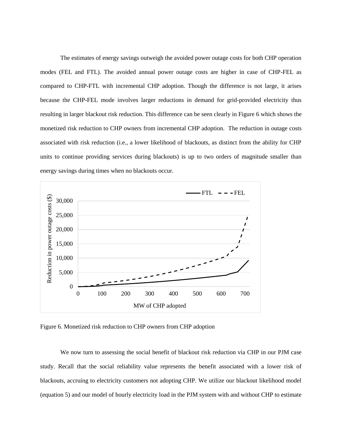The estimates of energy savings outweigh the avoided power outage costs for both CHP operation modes (FEL and FTL). The avoided annual power outage costs are higher in case of CHP-FEL as compared to CHP-FTL with incremental CHP adoption. Though the difference is not large, it arises because the CHP-FEL mode involves larger reductions in demand for grid-provided electricity thus resulting in larger blackout risk reduction. This difference can be seen clearly in Figure 6 which shows the monetized risk reduction to CHP owners from incremental CHP adoption. The reduction in outage costs associated with risk reduction (i.e., a lower likelihood of blackouts, as distinct from the ability for CHP units to continue providing services during blackouts) is up to two orders of magnitude smaller than energy savings during times when no blackouts occur.



Figure 6. Monetized risk reduction to CHP owners from CHP adoption

We now turn to assessing the social benefit of blackout risk reduction via CHP in our PJM case study. Recall that the social reliability value represents the benefit associated with a lower risk of blackouts, accruing to electricity customers not adopting CHP. We utilize our blackout likelihood model (equation 5) and our model of hourly electricity load in the PJM system with and without CHP to estimate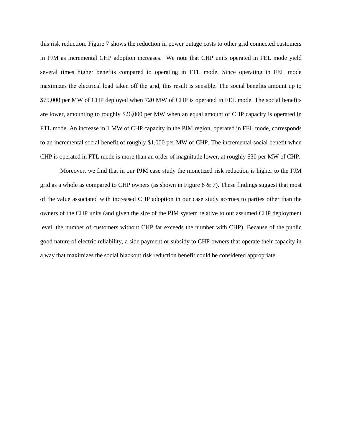this risk reduction. Figure 7 shows the reduction in power outage costs to other grid connected customers in PJM as incremental CHP adoption increases. We note that CHP units operated in FEL mode yield several times higher benefits compared to operating in FTL mode. Since operating in FEL mode maximizes the electrical load taken off the grid, this result is sensible. The social benefits amount up to \$75,000 per MW of CHP deployed when 720 MW of CHP is operated in FEL mode. The social benefits are lower, amounting to roughly \$26,000 per MW when an equal amount of CHP capacity is operated in FTL mode. An increase in 1 MW of CHP capacity in the PJM region, operated in FEL mode, corresponds to an incremental social benefit of roughly \$1,000 per MW of CHP. The incremental social benefit when CHP is operated in FTL mode is more than an order of magnitude lower, at roughly \$30 per MW of CHP.

Moreover, we find that in our PJM case study the monetized risk reduction is higher to the PJM grid as a whole as compared to CHP owners (as shown in Figure 6  $\&$  7). These findings suggest that most of the value associated with increased CHP adoption in our case study accrues to parties other than the owners of the CHP units (and given the size of the PJM system relative to our assumed CHP deployment level, the number of customers without CHP far exceeds the number with CHP). Because of the public good nature of electric reliability, a side payment or subsidy to CHP owners that operate their capacity in a way that maximizes the social blackout risk reduction benefit could be considered appropriate.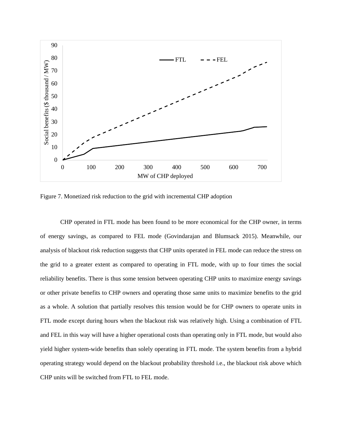

Figure 7. Monetized risk reduction to the grid with incremental CHP adoption

CHP operated in FTL mode has been found to be more economical for the CHP owner, in terms of energy savings, as compared to FEL mode (Govindarajan and Blumsack 2015). Meanwhile, our analysis of blackout risk reduction suggests that CHP units operated in FEL mode can reduce the stress on the grid to a greater extent as compared to operating in FTL mode, with up to four times the social reliability benefits. There is thus some tension between operating CHP units to maximize energy savings or other private benefits to CHP owners and operating those same units to maximize benefits to the grid as a whole. A solution that partially resolves this tension would be for CHP owners to operate units in FTL mode except during hours when the blackout risk was relatively high. Using a combination of FTL and FEL in this way will have a higher operational costs than operating only in FTL mode, but would also yield higher system-wide benefits than solely operating in FTL mode. The system benefits from a hybrid operating strategy would depend on the blackout probability threshold i.e., the blackout risk above which CHP units will be switched from FTL to FEL mode.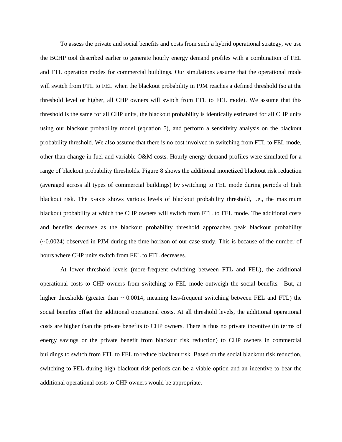To assess the private and social benefits and costs from such a hybrid operational strategy, we use the BCHP tool described earlier to generate hourly energy demand profiles with a combination of FEL and FTL operation modes for commercial buildings. Our simulations assume that the operational mode will switch from FTL to FEL when the blackout probability in PJM reaches a defined threshold (so at the threshold level or higher, all CHP owners will switch from FTL to FEL mode). We assume that this threshold is the same for all CHP units, the blackout probability is identically estimated for all CHP units using our blackout probability model (equation 5), and perform a sensitivity analysis on the blackout probability threshold. We also assume that there is no cost involved in switching from FTL to FEL mode, other than change in fuel and variable O&M costs. Hourly energy demand profiles were simulated for a range of blackout probability thresholds. Figure 8 shows the additional monetized blackout risk reduction (averaged across all types of commercial buildings) by switching to FEL mode during periods of high blackout risk. The x-axis shows various levels of blackout probability threshold, i.e., the maximum blackout probability at which the CHP owners will switch from FTL to FEL mode. The additional costs and benefits decrease as the blackout probability threshold approaches peak blackout probability (~0.0024) observed in PJM during the time horizon of our case study. This is because of the number of hours where CHP units switch from FEL to FTL decreases.

At lower threshold levels (more-frequent switching between FTL and FEL), the additional operational costs to CHP owners from switching to FEL mode outweigh the social benefits. But, at higher thresholds (greater than  $\sim 0.0014$ , meaning less-frequent switching between FEL and FTL) the social benefits offset the additional operational costs. At all threshold levels, the additional operational costs are higher than the private benefits to CHP owners. There is thus no private incentive (in terms of energy savings or the private benefit from blackout risk reduction) to CHP owners in commercial buildings to switch from FTL to FEL to reduce blackout risk. Based on the social blackout risk reduction, switching to FEL during high blackout risk periods can be a viable option and an incentive to bear the additional operational costs to CHP owners would be appropriate.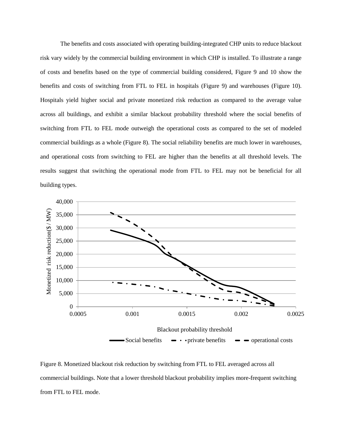The benefits and costs associated with operating building-integrated CHP units to reduce blackout risk vary widely by the commercial building environment in which CHP is installed. To illustrate a range of costs and benefits based on the type of commercial building considered, Figure 9 and 10 show the benefits and costs of switching from FTL to FEL in hospitals (Figure 9) and warehouses (Figure 10). Hospitals yield higher social and private monetized risk reduction as compared to the average value across all buildings, and exhibit a similar blackout probability threshold where the social benefits of switching from FTL to FEL mode outweigh the operational costs as compared to the set of modeled commercial buildings as a whole (Figure 8). The social reliability benefits are much lower in warehouses, and operational costs from switching to FEL are higher than the benefits at all threshold levels. The results suggest that switching the operational mode from FTL to FEL may not be beneficial for all building types.



Figure 8. Monetized blackout risk reduction by switching from FTL to FEL averaged across all commercial buildings. Note that a lower threshold blackout probability implies more-frequent switching from FTL to FEL mode.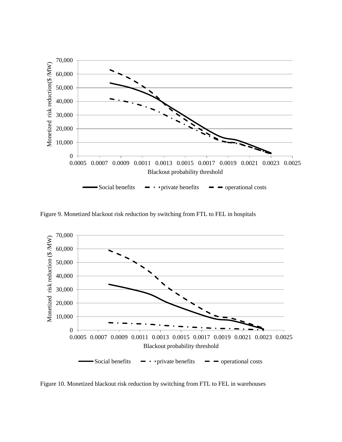

Figure 9. Monetized blackout risk reduction by switching from FTL to FEL in hospitals



Figure 10. Monetized blackout risk reduction by switching from FTL to FEL in warehouses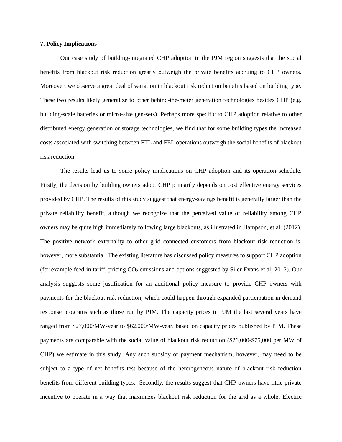### **7. Policy Implications**

Our case study of building-integrated CHP adoption in the PJM region suggests that the social benefits from blackout risk reduction greatly outweigh the private benefits accruing to CHP owners. Moreover, we observe a great deal of variation in blackout risk reduction benefits based on building type. These two results likely generalize to other behind-the-meter generation technologies besides CHP (e.g. building-scale batteries or micro-size gen-sets). Perhaps more specific to CHP adoption relative to other distributed energy generation or storage technologies, we find that for some building types the increased costs associated with switching between FTL and FEL operations outweigh the social benefits of blackout risk reduction.

The results lead us to some policy implications on CHP adoption and its operation schedule. Firstly, the decision by building owners adopt CHP primarily depends on cost effective energy services provided by CHP. The results of this study suggest that energy-savings benefit is generally larger than the private reliability benefit, although we recognize that the perceived value of reliability among CHP owners may be quite high immediately following large blackouts, as illustrated in Hampson, et al. (2012). The positive network externality to other grid connected customers from blackout risk reduction is, however, more substantial. The existing literature has discussed policy measures to support CHP adoption (for example feed-in tariff, pricing  $CO<sub>2</sub>$  emissions and options suggested by Siler-Evans et al, 2012). Our analysis suggests some justification for an additional policy measure to provide CHP owners with payments for the blackout risk reduction, which could happen through expanded participation in demand response programs such as those run by PJM. The capacity prices in PJM the last several years have ranged from \$27,000/MW-year to \$62,000/MW-year, based on capacity prices published by PJM. These payments are comparable with the social value of blackout risk reduction (\$26,000-\$75,000 per MW of CHP) we estimate in this study. Any such subsidy or payment mechanism, however, may need to be subject to a type of net benefits test because of the heterogeneous nature of blackout risk reduction benefits from different building types. Secondly, the results suggest that CHP owners have little private incentive to operate in a way that maximizes blackout risk reduction for the grid as a whole. Electric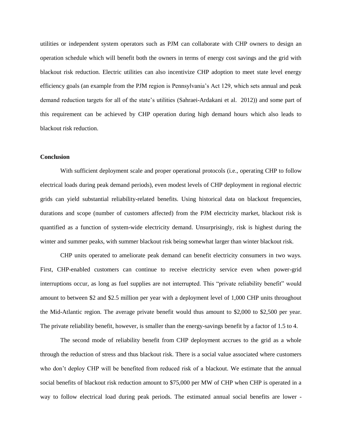utilities or independent system operators such as PJM can collaborate with CHP owners to design an operation schedule which will benefit both the owners in terms of energy cost savings and the grid with blackout risk reduction. Electric utilities can also incentivize CHP adoption to meet state level energy efficiency goals (an example from the PJM region is Pennsylvania's Act 129, which sets annual and peak demand reduction targets for all of the state's utilities (Sahraei-Ardakani et al. 2012)) and some part of this requirement can be achieved by CHP operation during high demand hours which also leads to blackout risk reduction.

### **Conclusion**

With sufficient deployment scale and proper operational protocols (i.e., operating CHP to follow electrical loads during peak demand periods), even modest levels of CHP deployment in regional electric grids can yield substantial reliability-related benefits. Using historical data on blackout frequencies, durations and scope (number of customers affected) from the PJM electricity market, blackout risk is quantified as a function of system-wide electricity demand. Unsurprisingly, risk is highest during the winter and summer peaks, with summer blackout risk being somewhat larger than winter blackout risk.

CHP units operated to ameliorate peak demand can benefit electricity consumers in two ways. First, CHP-enabled customers can continue to receive electricity service even when power-grid interruptions occur, as long as fuel supplies are not interrupted. This "private reliability benefit" would amount to between \$2 and \$2.5 million per year with a deployment level of 1,000 CHP units throughout the Mid-Atlantic region. The average private benefit would thus amount to \$2,000 to \$2,500 per year. The private reliability benefit, however, is smaller than the energy-savings benefit by a factor of 1.5 to 4.

The second mode of reliability benefit from CHP deployment accrues to the grid as a whole through the reduction of stress and thus blackout risk. There is a social value associated where customers who don't deploy CHP will be benefited from reduced risk of a blackout. We estimate that the annual social benefits of blackout risk reduction amount to \$75,000 per MW of CHP when CHP is operated in a way to follow electrical load during peak periods. The estimated annual social benefits are lower -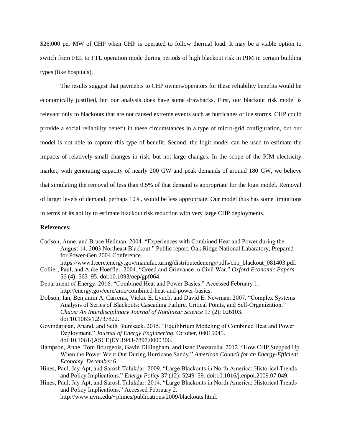\$26,000 per MW of CHP when CHP is operated to follow thermal load. It may be a viable option to switch from FEL to FTL operation mode during periods of high blackout risk in PJM in certain building types (like hospitals).

The results suggest that payments to CHP owners/operators for these reliability benefits would be economically justified, but our analysis does have some drawbacks. First, our blackout risk model is relevant only to blackouts that are not caused extreme events such as hurricanes or ice storms. CHP could provide a social reliability benefit in these circumstances in a type of micro-grid configuration, but our model is not able to capture this type of benefit. Second, the logit model can be used to estimate the impacts of relatively small changes in risk, but not large changes. In the scope of the PJM electricity market, with generating capacity of nearly 200 GW and peak demands of around 180 GW, we believe that simulating the removal of less than 0.5% of that demand is appropriate for the logit model. Removal of larger levels of demand, perhaps 10%, would be less appropriate. Our model thus has some limitations in terms of its ability to estimate blackout risk reduction with very large CHP deployments.

# **References:**

Carlson, Anne, and Bruce Hedman. 2004. "Experiences with Combined Heat and Power during the August 14, 2003 Northeast Blackout." Public report. Oak Ridge National Labaratory, Prepared for Power-Gen 2004 Conference.

https://www1.eere.energy.gov/manufacturing/distributedenergy/pdfs/chp\_blackout\_081403.pdf.

- Collier, Paul, and Anke Hoeffler. 2004. "Greed and Grievance in Civil War." *Oxford Economic Papers* 56 (4): 563–95. doi:10.1093/oep/gpf064.
- Department of Energy. 2016. "Combined Heat and Power Basics." Accessed February 1. http://energy.gov/eere/amo/combined-heat-and-power-basics.
- Dobson, Ian, Benjamin A. Carreras, Vickie E. Lynch, and David E. Newman. 2007. "Complex Systems Analysis of Series of Blackouts: Cascading Failure, Critical Points, and Self-Organization." *Chaos: An Interdisciplinary Journal of Nonlinear Science* 17 (2): 026103. doi:10.1063/1.2737822.
- Govindarajan, Anand, and Seth Blumsack. 2015. "Equilibrium Modeling of Combined Heat and Power Deployment." *Journal of Energy Engineering*, October, 04015045. doi:10.1061/(ASCE)EY.1943-7897.0000306.
- Hampson, Anne, Tom Bourgeois, Gavin Dillingham, and Isaac Panzarella. 2012. "How CHP Stepped Up When the Power Went Out During Hurricane Sandy." *American Council for an Energy-Efficient Economy. December* 6.
- Hines, Paul, Jay Apt, and Sarosh Talukdar. 2009. "Large Blackouts in North America: Historical Trends and Policy Implications." *Energy Policy* 37 (12): 5249–59. doi:10.1016/j.enpol.2009.07.049.

Hines, Paul, Jay Apt, and Sarosh Talukdar. 2014. "Large Blackouts in North America: Historical Trends and Policy Implications." Accessed February 2. http://www.uvm.edu/~phines/publications/2009/blackouts.html.